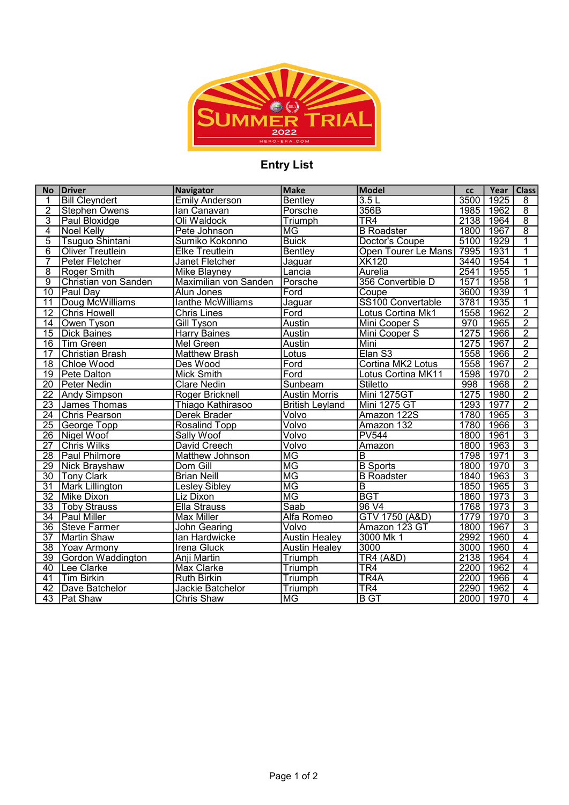

## Entry List

| <b>No</b>       | <b>Driver</b>           | <b>Navigator</b>             | <b>Make</b>            | Model                      | cc   | Year | <b>Class</b>   |
|-----------------|-------------------------|------------------------------|------------------------|----------------------------|------|------|----------------|
| 1               | <b>Bill Cleyndert</b>   | <b>Emily Anderson</b>        | Bentley                | 3.5L                       | 3500 | 1925 | 8              |
| $\overline{2}$  | <b>Stephen Owens</b>    | lan Canavan                  | Porsche                | 356B                       | 1985 | 1962 | $\overline{8}$ |
| $\overline{3}$  | Paul Bloxidge           | Oli Waldock                  | Triumph                | TR <sub>4</sub>            | 2138 | 1964 | $\overline{8}$ |
| $\overline{4}$  | <b>Noel Kelly</b>       | Pete Johnson                 | ΜG                     | <b>B</b> Roadster          | 1800 | 1967 | $\overline{8}$ |
| $\overline{5}$  | Tsuguo Shintani         | Sumiko Kokonno               | <b>Buick</b>           | Doctor's Coupe             | 5100 | 1929 | $\overline{1}$ |
| $\overline{6}$  | <b>Oliver Treutlein</b> | <b>Elke Treutlein</b>        | Bentley                | <b>Open Tourer Le Mans</b> | 7995 | 1931 | 1              |
| 7               | Peter Fletcher          | <b>Janet Fletcher</b>        | Jaguar                 | <b>XK120</b>               | 3440 | 1954 | $\overline{1}$ |
| $\overline{8}$  | <b>Roger Smith</b>      | <b>Mike Blayney</b>          | Lancia                 | Aurelia                    | 2541 | 1955 | 1              |
| $\overline{9}$  | Christian von Sanden    | <b>Maximilian von Sanden</b> | Porsche                | 356 Convertible D          | 1571 | 1958 | 1              |
| $\overline{10}$ | Paul Day                | Alun Jones                   | Ford                   | Coupe                      | 3600 | 1939 | 1              |
| $\overline{11}$ | Doug McWilliams         | lanthe McWilliams            | Jaguar                 | SS100 Convertable          | 3781 | 1935 | $\overline{1}$ |
| $\overline{12}$ | <b>Chris Howell</b>     | <b>Chris Lines</b>           | Ford                   | Lotus Cortina Mk1          | 1558 | 1962 | $\overline{2}$ |
| 14              | Owen Tyson              | <b>Gill Tyson</b>            | Austin                 | Mini Cooper S              | 970  | 1965 | $\overline{2}$ |
| $\overline{15}$ | <b>Dick Baines</b>      | <b>Harry Baines</b>          | <b>Austin</b>          | Mini Cooper S              | 1275 | 1966 | $\overline{2}$ |
| $\overline{16}$ | Tim Green               | Mel Green                    | Austin                 | Mini                       | 1275 | 1967 | $\overline{2}$ |
| $\overline{17}$ | <b>Christian Brash</b>  | <b>Matthew Brash</b>         | Lotus                  | Elan S3                    | 1558 | 1966 | $\overline{2}$ |
| $\overline{18}$ | <b>Chloe Wood</b>       | Des Wood                     | Ford                   | Cortina MK2 Lotus          | 1558 | 1967 | $\overline{2}$ |
| $\overline{19}$ | <b>Pete Dalton</b>      | <b>Mick Smith</b>            | Ford                   | Lotus Cortina MK11         | 1598 | 1970 | $\overline{2}$ |
| $\overline{20}$ | Peter Nedin             | <b>Clare Nedin</b>           | Sunbeam                | <b>Stiletto</b>            | 998  | 1968 | $\frac{1}{2}$  |
| $\overline{22}$ | <b>Andy Simpson</b>     | Roger Bricknell              | <b>Austin Morris</b>   | Mini 1275GT                | 1275 | 1980 | $\overline{2}$ |
| 23              | James Thomas            | Thiago Kathirasoo            | <b>British Leyland</b> | <b>Mini 1275 GT</b>        | 1293 | 1977 | $\overline{2}$ |
| $\overline{24}$ | <b>Chris Pearson</b>    | Derek Brader                 | Volvo                  | Amazon 122S                | 1780 | 1965 | $\overline{3}$ |
| $\overline{25}$ | George Topp             | Rosalind Topp                | Volvo                  | Amazon 132                 | 1780 | 1966 | $\overline{3}$ |
| $\overline{26}$ | Nigel Woof              | Sally Woof                   | Volvo                  | <b>PV544</b>               | 1800 | 1961 | $\overline{3}$ |
| $\overline{27}$ | <b>Chris Wilks</b>      | David Creech                 | Volvo                  | Amazon                     | 1800 | 1963 | $\overline{3}$ |
| $\overline{28}$ | Paul Philmore           | Matthew Johnson              | <b>MG</b>              | $\overline{B}$             | 1798 | 1971 | $\overline{3}$ |
| $\overline{29}$ | Nick Brayshaw           | Dom Gill                     | $\overline{\text{MG}}$ | <b>B</b> Sports            | 1800 | 1970 | $\overline{3}$ |
| $\overline{30}$ | <b>Tony Clark</b>       | <b>Brian Neill</b>           | $\overline{\text{MG}}$ | <b>B</b> Roadster          | 1840 | 1963 | $\overline{3}$ |
| $\overline{31}$ | <b>Mark Lillington</b>  | <b>Lesley Sibley</b>         | $\overline{\text{MG}}$ | $\overline{B}$             | 1850 | 1965 | $\overline{3}$ |
| $\overline{32}$ | Mike Dixon              | Liz Dixon                    | $\overline{\text{MG}}$ | <b>BGT</b>                 | 1860 | 1973 | $\overline{3}$ |
| $\overline{33}$ | <b>Toby Strauss</b>     | <b>Ella Strauss</b>          | Saab                   | 96 V4                      | 1768 | 1973 | $\overline{3}$ |
| $\overline{34}$ | <b>Paul Miller</b>      | <b>Max Miller</b>            | Alfa Romeo             | GTV 1750 (A&D)             | 1779 | 1970 | $\overline{3}$ |
| $\overline{36}$ | Steve Farmer            | <b>John Gearing</b>          | Volvo                  | Amazon 123 GT              | 1800 | 1967 | $\overline{3}$ |
| $\overline{37}$ | Martin Shaw             | lan Hardwicke                | <b>Austin Healey</b>   | 3000 Mk 1                  | 2992 | 1960 | $\overline{4}$ |
| $\overline{38}$ | <b>Yoav Armony</b>      | <b>Irena Gluck</b>           | <b>Austin Healey</b>   | 3000                       | 3000 | 1960 | $\overline{4}$ |
| $\overline{39}$ | Gordon Waddington       | <b>Anji Martin</b>           | Triumph                | <b>TR4 (A&amp;D)</b>       | 2138 | 1964 | $\overline{4}$ |
| 40              | Lee Clarke              | <b>Max Clarke</b>            | <b>Triumph</b>         | TR4                        | 2200 | 1962 | $\overline{4}$ |
| $\overline{41}$ | <b>Tim Birkin</b>       | <b>Ruth Birkin</b>           | Triumph                | TR <sub>4</sub> A          | 2200 | 1966 | $\overline{4}$ |
| $\overline{42}$ | Dave Batchelor          | Jackie Batchelor             | Triumph                | TR4                        | 2290 | 1962 | $\overline{4}$ |
|                 | 43   Pat Shaw           | <b>Chris Shaw</b>            | $\overline{\text{MG}}$ | <b>B</b> GT                | 2000 | 1970 | $\overline{4}$ |